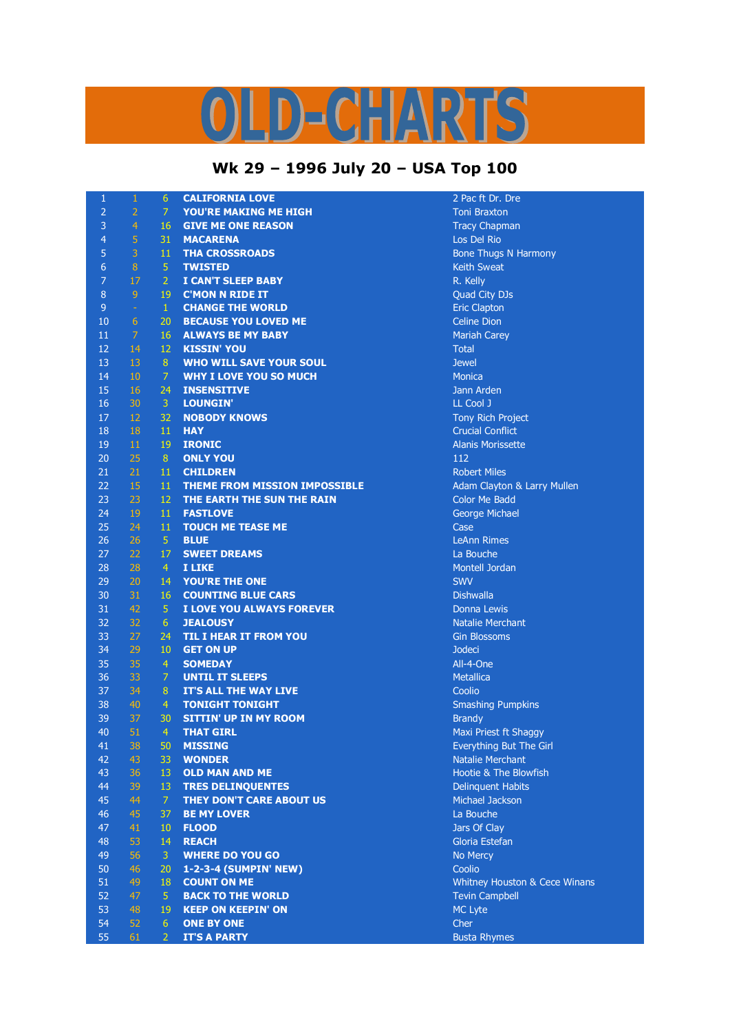## LD-CHARTS

## **Wk 29 – 1996 July 20 – USA Top 100**

| 1                | $\mathbf{1}$   | 6              | <b>CALIFORNIA LOVE</b>                         | 2 Pac ft Dr. Dre                                                  |
|------------------|----------------|----------------|------------------------------------------------|-------------------------------------------------------------------|
| $\overline{2}$   | $\overline{2}$ | $\overline{7}$ | <b>YOU'RE MAKING ME HIGH</b>                   | <b>Toni Braxton</b>                                               |
| 3                | $\overline{4}$ | 16             | <b>GIVE ME ONE REASON</b>                      | <b>Tracy Chapman</b>                                              |
| $\overline{4}$   | 5              | 31             | <b>MACARENA</b>                                | Los Del Rio                                                       |
| 5                | 3              | 11             | <b>THA CROSSROADS</b>                          | <b>Bone Thugs N Harmony</b>                                       |
| 6                | 8              | 5              | <b>TWISTED</b>                                 | <b>Keith Sweat</b>                                                |
| $\overline{7}$   | 17             | $\overline{2}$ | I CAN'T SLEEP BABY                             | R. Kelly                                                          |
| $\boldsymbol{8}$ | $\overline{9}$ | 19             | <b>C'MON N RIDE IT</b>                         | Quad City DJs                                                     |
| $\overline{9}$   | $\equiv$       | $\mathbf{1}$   | <b>CHANGE THE WORLD</b>                        | <b>Eric Clapton</b>                                               |
| 10               | 6              | 20             | <b>BECAUSE YOU LOVED ME</b>                    | <b>Celine Dion</b>                                                |
| 11               | $\overline{7}$ | 16             | <b>ALWAYS BE MY BABY</b>                       | <b>Mariah Carey</b>                                               |
| 12               | 14             | 12             | <b>KISSIN' YOU</b>                             | <b>Total</b>                                                      |
| 13               | 13             | 8              | <b>WHO WILL SAVE YOUR SOUL</b>                 | <b>Jewel</b>                                                      |
| 14               | 10             | 7              | <b>WHY I LOVE YOU SO MUCH</b>                  | <b>Monica</b>                                                     |
| 15               | 16             | 24             | <b>INSENSITIVE</b>                             | Jann Arden                                                        |
| 16               | 30             | 3              | <b>LOUNGIN'</b>                                | LL Cool J                                                         |
| 17               | 12             | 32             | <b>NOBODY KNOWS</b>                            | Tony Rich Project                                                 |
| 18               | 18             | 11             | <b>HAY</b>                                     | <b>Crucial Conflict</b>                                           |
| 19               | 11             | 19             | <b>IRONIC</b>                                  | <b>Alanis Morissette</b>                                          |
| 20               | 25             | 8              | <b>ONLY YOU</b>                                | 112                                                               |
| 21               | 21             | 11             | <b>CHILDREN</b>                                | <b>Robert Miles</b>                                               |
| 22               | 15             | 11             | <b>THEME FROM MISSION IMPOSSIBLE</b>           | Adam Clayton & Larry Mullen                                       |
| 23               | 23             | 12             | THE EARTH THE SUN THE RAIN                     | <b>Color Me Badd</b>                                              |
| 24               | 19             | 11             | <b>FASTLOVE</b>                                | George Michael                                                    |
| 25               | 24             | 11             | <b>TOUCH ME TEASE ME</b>                       | Case                                                              |
| 26               | 26             | 5              | <b>BLUE</b>                                    | <b>LeAnn Rimes</b>                                                |
| 27               | 22             | 17             | <b>SWEET DREAMS</b>                            | La Bouche                                                         |
| 28               | 28             | $\overline{4}$ | I LIKE                                         | Montell Jordan                                                    |
| 29               | 20             | 14             | <b>YOU'RE THE ONE</b>                          | <b>SWV</b>                                                        |
| 30               | 31             | 16             | <b>COUNTING BLUE CARS</b>                      | <b>Dishwalla</b>                                                  |
| 31               | 42             | 5              | I LOVE YOU ALWAYS FOREVER                      | Donna Lewis                                                       |
| 32               | 32             | 6              | <b>JEALOUSY</b>                                | <b>Natalie Merchant</b>                                           |
| 33               | 27             | 24             | <b>TIL I HEAR IT FROM YOU</b>                  | <b>Gin Blossoms</b>                                               |
| 34               | 29             | 10             | <b>GET ON UP</b>                               | <b>Jodeci</b>                                                     |
| 35               | 35             | $\overline{4}$ | <b>SOMEDAY</b>                                 | All-4-One                                                         |
| 36               | 33             | $\overline{7}$ | <b>UNTIL IT SLEEPS</b>                         | <b>Metallica</b>                                                  |
| 37               | 34             | 8              | IT'S ALL THE WAY LIVE                          | Coolio                                                            |
| 38               | 40             | $\overline{4}$ | <b>TONIGHT TONIGHT</b>                         | <b>Smashing Pumpkins</b>                                          |
| 39               | 37             | 30             | <b>SITTIN' UP IN MY ROOM</b>                   | <b>Brandy</b>                                                     |
| 40               | 51             | $\overline{4}$ | <b>THAT GIRL</b>                               | Maxi Priest ft Shaggy                                             |
| 41               | 38             | 50             | <b>MISSING</b>                                 | Everything But The Girl                                           |
| 42               | 43             | 33             | <b>WONDER</b>                                  | <b>Natalie Merchant</b>                                           |
| 43               | 36             | 13             | <b>OLD MAN AND ME</b>                          | Hootie & The Blowfish                                             |
| 44               | 39             | 13             | <b>TRES DELINQUENTES</b>                       | <b>Delinquent Habits</b>                                          |
| 45               | 44             | 7              | THEY DON'T CARE ABOUT US                       | Michael Jackson                                                   |
| 46               | 45             | 37             | <b>BE MY LOVER</b>                             | La Bouche                                                         |
| 47               | 41             | 10             | <b>FLOOD</b>                                   | Jars Of Clay                                                      |
| 48               | 53             | 14             | <b>REACH</b>                                   | Gloria Estefan                                                    |
| 49               | 56             | 3              | <b>WHERE DO YOU GO</b>                         | No Mercy                                                          |
| 50<br>51         | 46<br>49       | 20<br>18       | 1-2-3-4 (SUMPIN' NEW)<br><b>COUNT ON ME</b>    | Coolio                                                            |
| 52               | 47             | 5              |                                                | <b>Whitney Houston &amp; Cece Winans</b><br><b>Tevin Campbell</b> |
| 53               | 48             | 19             | <b>BACK TO THE WORLD</b>                       |                                                                   |
| 54               | 52             | 6              | <b>KEEP ON KEEPIN' ON</b><br><b>ONE BY ONE</b> | MC Lyte<br>Cher                                                   |
| 55               | 61             | $\overline{2}$ | <b>IT'S A PARTY</b>                            | <b>Busta Rhymes</b>                                               |
|                  |                |                |                                                |                                                                   |